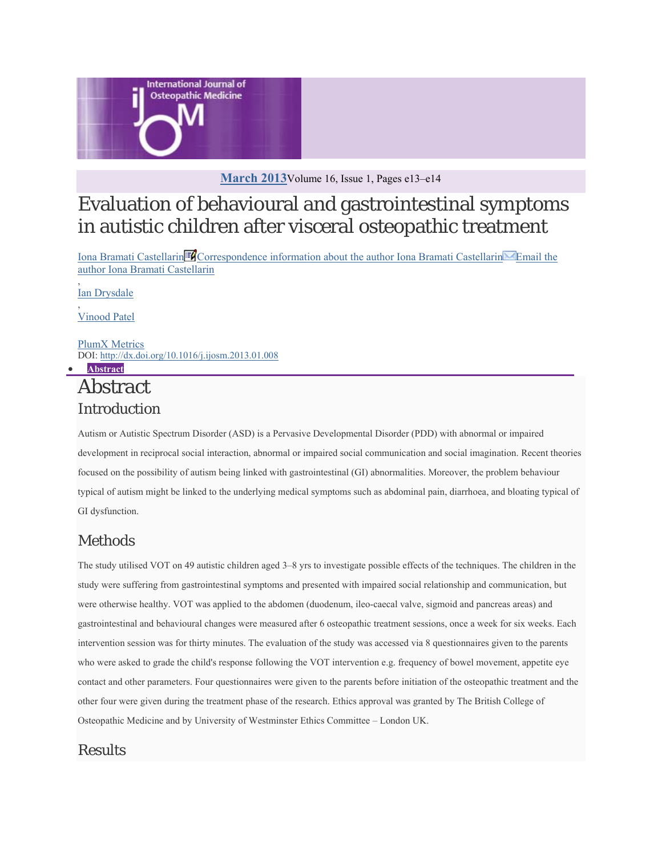

### **March 2013**Volume 16, Issue 1, Pages e13–e14

# Evaluation of behavioural and gastrointestinal symptoms in autistic children after visceral osteopathic treatment

Iona Bramati Castellarin Correspondence information about the author Iona Bramati Castellarin Email the author Iona Bramati Castellarin

, Ian Drysdale

, Vinood Patel

PlumX Metrics DOI: http://dx.doi.org/10.1016/j.ijosm.2013.01.008 **Abstract**

# Abstract Introduction

Autism or Autistic Spectrum Disorder (ASD) is a Pervasive Developmental Disorder (PDD) with abnormal or impaired development in reciprocal social interaction, abnormal or impaired social communication and social imagination. Recent theories focused on the possibility of autism being linked with gastrointestinal (GI) abnormalities. Moreover, the problem behaviour typical of autism might be linked to the underlying medical symptoms such as abdominal pain, diarrhoea, and bloating typical of GI dysfunction.

## Methods

The study utilised VOT on 49 autistic children aged 3–8 yrs to investigate possible effects of the techniques. The children in the study were suffering from gastrointestinal symptoms and presented with impaired social relationship and communication, but were otherwise healthy. VOT was applied to the abdomen (duodenum, ileo-caecal valve, sigmoid and pancreas areas) and gastrointestinal and behavioural changes were measured after 6 osteopathic treatment sessions, once a week for six weeks. Each intervention session was for thirty minutes. The evaluation of the study was accessed via 8 questionnaires given to the parents who were asked to grade the child's response following the VOT intervention e.g. frequency of bowel movement, appetite eye contact and other parameters. Four questionnaires were given to the parents before initiation of the osteopathic treatment and the other four were given during the treatment phase of the research. Ethics approval was granted by The British College of Osteopathic Medicine and by University of Westminster Ethics Committee – London UK.

## **Results**